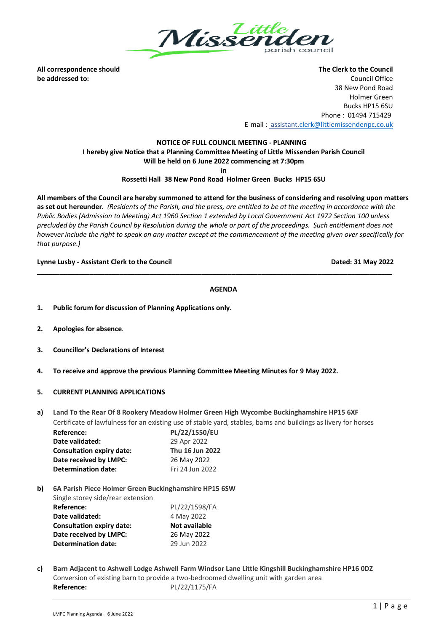

**All correspondence should The Clerk to the Council be addressed to:** Council Office 38 New Pond Road Holmer Green Bucks HP15 6SU Phone : 01494 715429 E-mail : assistan[t.clerk@littlemissendenpc.co.uk](mailto:clerk@littlemissendenpc.co.uk)

# **NOTICE OF FULL COUNCIL MEETING - PLANNING I hereby give Notice that a Planning Committee Meeting of Little Missenden Parish Council Will be held on 6 June 2022 commencing at 7:30pm**

**in**

## **Rossetti Hall 38 New Pond Road Holmer Green Bucks HP15 6SU**

**All members of the Council are hereby summoned to attend for the business of considering and resolving upon matters as set out hereunder**. *(Residents of the Parish, and the press, are entitled to be at the meeting in accordance with the Public Bodies (Admission to Meeting) Act 1960 Section 1 extended by Local Government Act 1972 Section 100 unless precluded by the Parish Council by Resolution during the whole or part of the proceedings. Such entitlement does not however include the right to speak on any matter except at the commencement of the meeting given over specifically for that purpose.)*

## **Lynne Lusby - Assistant Clerk to the Council Dated: 31 May 2022**

#### **AGENDA**

**\_\_\_\_\_\_\_\_\_\_\_\_\_\_\_\_\_\_\_\_\_\_\_\_\_\_\_\_\_\_\_\_\_\_\_\_\_\_\_\_\_\_\_\_\_\_\_\_\_\_\_\_\_\_\_\_\_\_\_\_\_\_\_\_\_\_\_\_\_\_\_\_\_\_\_\_\_\_\_\_\_\_\_\_\_\_\_\_\_\_\_\_\_\_\_**

- **1. Public forum for discussion of Planning Applications only.**
- **2. Apologies for absence**.
- **3. Councillor's Declarations of Interest**
- **4. To receive and approve the previous Planning Committee Meeting Minutes for 9 May 2022.**
- **5. CURRENT PLANNING APPLICATIONS**
- **a) Land To the Rear Of 8 Rookery Meadow Holmer Green High Wycombe Buckinghamshire HP15 6XF** Certificate of lawfulness for an existing use of stable yard, stables, barns and buildings as livery for horses

| Reference:                       | PL/22/1550/EU   |
|----------------------------------|-----------------|
| Date validated:                  | 29 Apr 2022     |
| <b>Consultation expiry date:</b> | Thu 16 Jun 2022 |
| Date received by LMPC:           | 26 May 2022     |
| <b>Determination date:</b>       | Fri 24 Jun 2022 |

**b) 6A Parish Piece Holmer Green Buckinghamshire HP15 6SW** Single storey side/rear extension **Reference:** PL/22/1598/FA

| Date validated:                  | 4 May 2022    |
|----------------------------------|---------------|
| <b>Consultation expiry date:</b> | Not available |
| Date received by LMPC:           | 26 May 2022   |
| <b>Determination date:</b>       | 29 Jun 2022   |

**c) Barn Adjacent to Ashwell Lodge Ashwell Farm Windsor Lane Little Kingshill Buckinghamshire HP16 0DZ** Conversion of existing barn to provide a two-bedroomed dwelling unit with garden area **Reference:** PL/22/1175/FA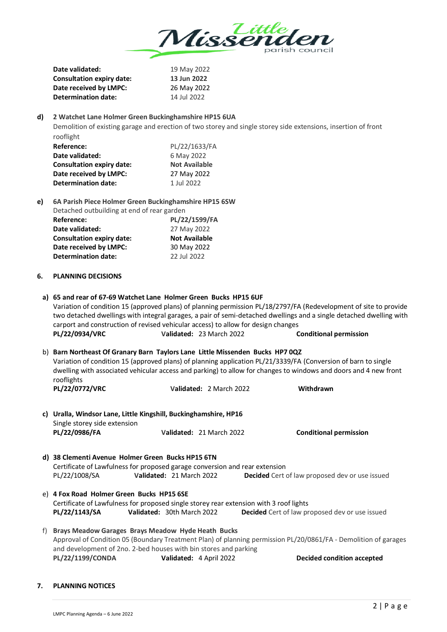

|                                                                                                                                                                                     | Date validated:                                                                                                                                                                                                                                                                                                                   | 19 May 2022                                                                                                    |                                                                                                                                                                                                                                                                           |  |  |  |
|-------------------------------------------------------------------------------------------------------------------------------------------------------------------------------------|-----------------------------------------------------------------------------------------------------------------------------------------------------------------------------------------------------------------------------------------------------------------------------------------------------------------------------------|----------------------------------------------------------------------------------------------------------------|---------------------------------------------------------------------------------------------------------------------------------------------------------------------------------------------------------------------------------------------------------------------------|--|--|--|
|                                                                                                                                                                                     | <b>Consultation expiry date:</b>                                                                                                                                                                                                                                                                                                  | 13 Jun 2022                                                                                                    |                                                                                                                                                                                                                                                                           |  |  |  |
|                                                                                                                                                                                     | Date received by LMPC:                                                                                                                                                                                                                                                                                                            | 26 May 2022                                                                                                    |                                                                                                                                                                                                                                                                           |  |  |  |
|                                                                                                                                                                                     | <b>Determination date:</b>                                                                                                                                                                                                                                                                                                        | 14 Jul 2022                                                                                                    |                                                                                                                                                                                                                                                                           |  |  |  |
|                                                                                                                                                                                     |                                                                                                                                                                                                                                                                                                                                   |                                                                                                                |                                                                                                                                                                                                                                                                           |  |  |  |
| d)                                                                                                                                                                                  | 2 Watchet Lane Holmer Green Buckinghamshire HP15 6UA                                                                                                                                                                                                                                                                              |                                                                                                                |                                                                                                                                                                                                                                                                           |  |  |  |
|                                                                                                                                                                                     |                                                                                                                                                                                                                                                                                                                                   | Demolition of existing garage and erection of two storey and single storey side extensions, insertion of front |                                                                                                                                                                                                                                                                           |  |  |  |
|                                                                                                                                                                                     | rooflight                                                                                                                                                                                                                                                                                                                         |                                                                                                                |                                                                                                                                                                                                                                                                           |  |  |  |
|                                                                                                                                                                                     | Reference:                                                                                                                                                                                                                                                                                                                        | PL/22/1633/FA                                                                                                  |                                                                                                                                                                                                                                                                           |  |  |  |
|                                                                                                                                                                                     | Date validated:                                                                                                                                                                                                                                                                                                                   | 6 May 2022                                                                                                     |                                                                                                                                                                                                                                                                           |  |  |  |
|                                                                                                                                                                                     | <b>Consultation expiry date:</b>                                                                                                                                                                                                                                                                                                  | <b>Not Available</b>                                                                                           |                                                                                                                                                                                                                                                                           |  |  |  |
|                                                                                                                                                                                     | Date received by LMPC:                                                                                                                                                                                                                                                                                                            | 27 May 2022                                                                                                    |                                                                                                                                                                                                                                                                           |  |  |  |
|                                                                                                                                                                                     | <b>Determination date:</b>                                                                                                                                                                                                                                                                                                        | 1 Jul 2022                                                                                                     |                                                                                                                                                                                                                                                                           |  |  |  |
|                                                                                                                                                                                     |                                                                                                                                                                                                                                                                                                                                   |                                                                                                                |                                                                                                                                                                                                                                                                           |  |  |  |
| e)                                                                                                                                                                                  |                                                                                                                                                                                                                                                                                                                                   | 6A Parish Piece Holmer Green Buckinghamshire HP15 6SW                                                          |                                                                                                                                                                                                                                                                           |  |  |  |
|                                                                                                                                                                                     | Detached outbuilding at end of rear garden                                                                                                                                                                                                                                                                                        |                                                                                                                |                                                                                                                                                                                                                                                                           |  |  |  |
|                                                                                                                                                                                     | <b>Reference:</b>                                                                                                                                                                                                                                                                                                                 | PL/22/1599/FA                                                                                                  |                                                                                                                                                                                                                                                                           |  |  |  |
|                                                                                                                                                                                     | Date validated:                                                                                                                                                                                                                                                                                                                   | 27 May 2022                                                                                                    |                                                                                                                                                                                                                                                                           |  |  |  |
|                                                                                                                                                                                     | <b>Consultation expiry date:</b>                                                                                                                                                                                                                                                                                                  | <b>Not Available</b>                                                                                           |                                                                                                                                                                                                                                                                           |  |  |  |
|                                                                                                                                                                                     | Date received by LMPC:                                                                                                                                                                                                                                                                                                            | 30 May 2022                                                                                                    |                                                                                                                                                                                                                                                                           |  |  |  |
|                                                                                                                                                                                     | <b>Determination date:</b>                                                                                                                                                                                                                                                                                                        | 22 Jul 2022                                                                                                    |                                                                                                                                                                                                                                                                           |  |  |  |
| 6.                                                                                                                                                                                  | <b>PLANNING DECISIONS</b>                                                                                                                                                                                                                                                                                                         |                                                                                                                |                                                                                                                                                                                                                                                                           |  |  |  |
|                                                                                                                                                                                     | PL/22/0934/VRC                                                                                                                                                                                                                                                                                                                    | carport and construction of revised vehicular access) to allow for design changes<br>Validated: 23 March 2022  | Variation of condition 15 (approved plans) of planning permission PL/18/2797/FA (Redevelopment of site to provide<br>two detached dwellings with integral garages, a pair of semi-detached dwellings and a single detached dwelling with<br><b>Conditional permission</b> |  |  |  |
|                                                                                                                                                                                     |                                                                                                                                                                                                                                                                                                                                   |                                                                                                                |                                                                                                                                                                                                                                                                           |  |  |  |
|                                                                                                                                                                                     | b) Barn Northeast Of Granary Barn Taylors Lane Little Missenden Bucks HP7 0QZ<br>Variation of condition 15 (approved plans) of planning application PL/21/3339/FA (Conversion of barn to single<br>dwelling with associated vehicular access and parking) to allow for changes to windows and doors and 4 new front<br>rooflights |                                                                                                                |                                                                                                                                                                                                                                                                           |  |  |  |
|                                                                                                                                                                                     | PL/22/0772/VRC                                                                                                                                                                                                                                                                                                                    | Validated: 2 March 2022                                                                                        | Withdrawn                                                                                                                                                                                                                                                                 |  |  |  |
|                                                                                                                                                                                     |                                                                                                                                                                                                                                                                                                                                   |                                                                                                                |                                                                                                                                                                                                                                                                           |  |  |  |
|                                                                                                                                                                                     | c) Uralla, Windsor Lane, Little Kingshill, Buckinghamshire, HP16                                                                                                                                                                                                                                                                  |                                                                                                                |                                                                                                                                                                                                                                                                           |  |  |  |
|                                                                                                                                                                                     | Single storey side extension                                                                                                                                                                                                                                                                                                      |                                                                                                                |                                                                                                                                                                                                                                                                           |  |  |  |
|                                                                                                                                                                                     | PL/22/0986/FA                                                                                                                                                                                                                                                                                                                     | Validated: 21 March 2022                                                                                       | <b>Conditional permission</b>                                                                                                                                                                                                                                             |  |  |  |
|                                                                                                                                                                                     | d) 38 Clementi Avenue Holmer Green Bucks HP15 6TN                                                                                                                                                                                                                                                                                 |                                                                                                                |                                                                                                                                                                                                                                                                           |  |  |  |
|                                                                                                                                                                                     |                                                                                                                                                                                                                                                                                                                                   |                                                                                                                |                                                                                                                                                                                                                                                                           |  |  |  |
|                                                                                                                                                                                     | PL/22/1008/SA                                                                                                                                                                                                                                                                                                                     | Certificate of Lawfulness for proposed garage conversion and rear extension<br>Validated: 21 March 2022        | Decided Cert of law proposed dev or use issued                                                                                                                                                                                                                            |  |  |  |
|                                                                                                                                                                                     |                                                                                                                                                                                                                                                                                                                                   |                                                                                                                |                                                                                                                                                                                                                                                                           |  |  |  |
|                                                                                                                                                                                     | e) 4 Fox Road Holmer Green Bucks HP15 6SE                                                                                                                                                                                                                                                                                         |                                                                                                                |                                                                                                                                                                                                                                                                           |  |  |  |
|                                                                                                                                                                                     |                                                                                                                                                                                                                                                                                                                                   | Certificate of Lawfulness for proposed single storey rear extension with 3 roof lights                         |                                                                                                                                                                                                                                                                           |  |  |  |
|                                                                                                                                                                                     | PL/22/1143/SA                                                                                                                                                                                                                                                                                                                     | Validated: 30th March 2022                                                                                     | Decided Cert of law proposed dev or use issued                                                                                                                                                                                                                            |  |  |  |
|                                                                                                                                                                                     |                                                                                                                                                                                                                                                                                                                                   |                                                                                                                |                                                                                                                                                                                                                                                                           |  |  |  |
| f)                                                                                                                                                                                  |                                                                                                                                                                                                                                                                                                                                   | <b>Brays Meadow Garages Brays Meadow Hyde Heath Bucks</b>                                                      |                                                                                                                                                                                                                                                                           |  |  |  |
| Approval of Condition 05 (Boundary Treatment Plan) of planning permission PL/20/0861/FA - Demolition of garages<br>and development of 2no. 2-bed houses with bin stores and parking |                                                                                                                                                                                                                                                                                                                                   |                                                                                                                |                                                                                                                                                                                                                                                                           |  |  |  |
|                                                                                                                                                                                     |                                                                                                                                                                                                                                                                                                                                   |                                                                                                                |                                                                                                                                                                                                                                                                           |  |  |  |
|                                                                                                                                                                                     | PL/22/1199/CONDA                                                                                                                                                                                                                                                                                                                  | Validated: 4 April 2022                                                                                        | <b>Decided condition accepted</b>                                                                                                                                                                                                                                         |  |  |  |

### **7. PLANNING NOTICES**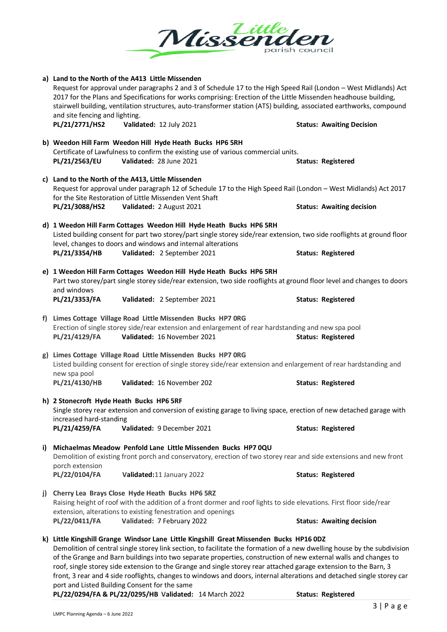

|       | a) Land to the North of the A413 Little Missenden<br>Request for approval under paragraphs 2 and 3 of Schedule 17 to the High Speed Rail (London - West Midlands) Act<br>2017 for the Plans and Specifications for works comprising: Erection of the Little Missenden headhouse building,<br>stairwell building, ventilation structures, auto-transformer station (ATS) building, associated earthworks, compound<br>and site fencing and lighting. |                                  |  |  |  |
|-------|-----------------------------------------------------------------------------------------------------------------------------------------------------------------------------------------------------------------------------------------------------------------------------------------------------------------------------------------------------------------------------------------------------------------------------------------------------|----------------------------------|--|--|--|
|       | PL/21/2771/HS2<br>Validated: 12 July 2021                                                                                                                                                                                                                                                                                                                                                                                                           | <b>Status: Awaiting Decision</b> |  |  |  |
|       | b) Weedon Hill Farm Weedon Hill Hyde Heath Bucks HP6 5RH                                                                                                                                                                                                                                                                                                                                                                                            |                                  |  |  |  |
|       | Certificate of Lawfulness to confirm the existing use of various commercial units.                                                                                                                                                                                                                                                                                                                                                                  |                                  |  |  |  |
|       | PL/21/2563/EU<br>Validated: 28 June 2021                                                                                                                                                                                                                                                                                                                                                                                                            | <b>Status: Registered</b>        |  |  |  |
|       | c) Land to the North of the A413, Little Missenden                                                                                                                                                                                                                                                                                                                                                                                                  |                                  |  |  |  |
|       | Request for approval under paragraph 12 of Schedule 17 to the High Speed Rail (London - West Midlands) Act 2017                                                                                                                                                                                                                                                                                                                                     |                                  |  |  |  |
|       | for the Site Restoration of Little Missenden Vent Shaft                                                                                                                                                                                                                                                                                                                                                                                             |                                  |  |  |  |
|       | PL/21/3088/HS2<br>Validated: 2 August 2021                                                                                                                                                                                                                                                                                                                                                                                                          | <b>Status: Awaiting decision</b> |  |  |  |
|       | d) 1 Weedon Hill Farm Cottages Weedon Hill Hyde Heath Bucks HP6 5RH                                                                                                                                                                                                                                                                                                                                                                                 |                                  |  |  |  |
|       | Listed building consent for part two storey/part single storey side/rear extension, two side rooflights at ground floor                                                                                                                                                                                                                                                                                                                             |                                  |  |  |  |
|       | level, changes to doors and windows and internal alterations                                                                                                                                                                                                                                                                                                                                                                                        |                                  |  |  |  |
|       | PL/21/3354/HB<br>Validated: 2 September 2021                                                                                                                                                                                                                                                                                                                                                                                                        | <b>Status: Registered</b>        |  |  |  |
|       | e) 1 Weedon Hill Farm Cottages Weedon Hill Hyde Heath Bucks HP6 5RH                                                                                                                                                                                                                                                                                                                                                                                 |                                  |  |  |  |
|       | Part two storey/part single storey side/rear extension, two side rooflights at ground floor level and changes to doors                                                                                                                                                                                                                                                                                                                              |                                  |  |  |  |
|       | and windows                                                                                                                                                                                                                                                                                                                                                                                                                                         |                                  |  |  |  |
|       | PL/21/3353/FA<br>Validated: 2 September 2021                                                                                                                                                                                                                                                                                                                                                                                                        | <b>Status: Registered</b>        |  |  |  |
| $f$ ) | Limes Cottage Village Road Little Missenden Bucks HP7 ORG                                                                                                                                                                                                                                                                                                                                                                                           |                                  |  |  |  |
|       | Erection of single storey side/rear extension and enlargement of rear hardstanding and new spa pool                                                                                                                                                                                                                                                                                                                                                 |                                  |  |  |  |
|       | Validated: 16 November 2021<br>PL/21/4129/FA                                                                                                                                                                                                                                                                                                                                                                                                        | <b>Status: Registered</b>        |  |  |  |
|       | g) Limes Cottage Village Road Little Missenden Bucks HP7 ORG                                                                                                                                                                                                                                                                                                                                                                                        |                                  |  |  |  |
|       | Listed building consent for erection of single storey side/rear extension and enlargement of rear hardstanding and                                                                                                                                                                                                                                                                                                                                  |                                  |  |  |  |
|       | new spa pool                                                                                                                                                                                                                                                                                                                                                                                                                                        |                                  |  |  |  |
|       | PL/21/4130/HB<br>Validated: 16 November 202                                                                                                                                                                                                                                                                                                                                                                                                         | <b>Status: Registered</b>        |  |  |  |
|       | h) 2 Stonecroft Hyde Heath Bucks HP6 5RF                                                                                                                                                                                                                                                                                                                                                                                                            |                                  |  |  |  |
|       | Single storey rear extension and conversion of existing garage to living space, erection of new detached garage with                                                                                                                                                                                                                                                                                                                                |                                  |  |  |  |
|       | increased hard-standing                                                                                                                                                                                                                                                                                                                                                                                                                             |                                  |  |  |  |
|       | PL/21/4259/FA<br>Validated: 9 December 2021                                                                                                                                                                                                                                                                                                                                                                                                         | <b>Status: Registered</b>        |  |  |  |
| i)    | Michaelmas Meadow Penfold Lane Little Missenden Bucks HP7 0QU                                                                                                                                                                                                                                                                                                                                                                                       |                                  |  |  |  |
|       | Demolition of existing front porch and conservatory, erection of two storey rear and side extensions and new front                                                                                                                                                                                                                                                                                                                                  |                                  |  |  |  |
|       | porch extension                                                                                                                                                                                                                                                                                                                                                                                                                                     |                                  |  |  |  |
|       | PL/22/0104/FA<br>Validated:11 January 2022                                                                                                                                                                                                                                                                                                                                                                                                          | <b>Status: Registered</b>        |  |  |  |
| j)    | Cherry Lea Brays Close Hyde Heath Bucks HP6 5RZ                                                                                                                                                                                                                                                                                                                                                                                                     |                                  |  |  |  |
|       | Raising height of roof with the addition of a front dormer and roof lights to side elevations. First floor side/rear                                                                                                                                                                                                                                                                                                                                |                                  |  |  |  |
|       | extension, alterations to existing fenestration and openings                                                                                                                                                                                                                                                                                                                                                                                        |                                  |  |  |  |
|       | PL/22/0411/FA<br>Validated: 7 February 2022                                                                                                                                                                                                                                                                                                                                                                                                         | <b>Status: Awaiting decision</b> |  |  |  |
|       | k) Little Kingshill Grange Windsor Lane Little Kingshill Great Missenden Bucks HP16 0DZ                                                                                                                                                                                                                                                                                                                                                             |                                  |  |  |  |
|       | Demolition of central single storey link section, to facilitate the formation of a new dwelling house by the subdivision                                                                                                                                                                                                                                                                                                                            |                                  |  |  |  |
|       | of the Grange and Barn buildings into two separate properties, construction of new external walls and changes to                                                                                                                                                                                                                                                                                                                                    |                                  |  |  |  |

roof, single storey side extension to the Grange and single storey rear attached garage extension to the Barn, 3 front, 3 rear and 4 side rooflights, changes to windows and doors, internal alterations and detached single storey car port and Listed Building Consent for the same

**PL/22/0294/FA & PL/22/0295/HB Validated:** 14 March 2022 **Status: Registered**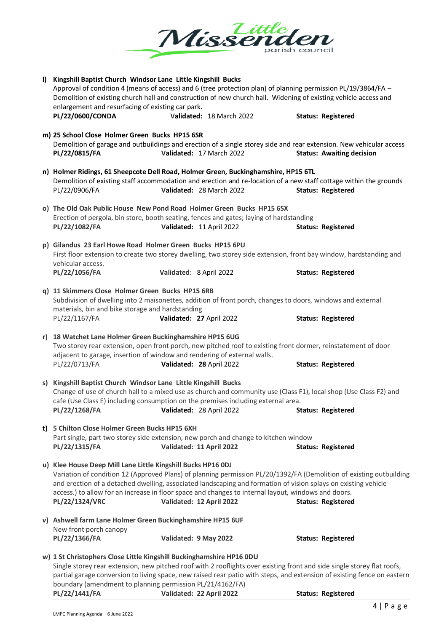

| I) | Kingshill Baptist Church Windsor Lane Little Kingshill Bucks<br>Approval of condition 4 (means of access) and 6 (tree protection plan) of planning permission PL/19/3864/FA -<br>Demolition of existing church hall and construction of new church hall. Widening of existing vehicle access and<br>enlargement and resurfacing of existing car park.<br>PL/22/0600/CONDA                                                      |                          | Validated: 18 March 2022 | <b>Status: Registered</b>        |
|----|--------------------------------------------------------------------------------------------------------------------------------------------------------------------------------------------------------------------------------------------------------------------------------------------------------------------------------------------------------------------------------------------------------------------------------|--------------------------|--------------------------|----------------------------------|
|    | m) 25 School Close Holmer Green Bucks HP15 6SR<br>Demolition of garage and outbuildings and erection of a single storey side and rear extension. New vehicular access<br>PL/22/0815/FA                                                                                                                                                                                                                                         |                          | Validated: 17 March 2022 | <b>Status: Awaiting decision</b> |
|    | n) Holmer Ridings, 61 Sheepcote Dell Road, Holmer Green, Buckinghamshire, HP15 6TL<br>Demolition of existing staff accommodation and erection and re-location of a new staff cottage within the grounds<br>PL/22/0906/FA                                                                                                                                                                                                       |                          | Validated: 28 March 2022 | <b>Status: Registered</b>        |
|    | o) The Old Oak Public House New Pond Road Holmer Green Bucks HP15 6SX<br>Erection of pergola, bin store, booth seating, fences and gates; laying of hardstanding<br>PL/22/1082/FA                                                                                                                                                                                                                                              | Validated: 11 April 2022 |                          | <b>Status: Registered</b>        |
|    | p) Gilandus 23 Earl Howe Road Holmer Green Bucks HP15 6PU<br>First floor extension to create two storey dwelling, two storey side extension, front bay window, hardstanding and<br>vehicular access.<br>PL/22/1056/FA                                                                                                                                                                                                          | Validated: 8 April 2022  |                          | <b>Status: Registered</b>        |
|    | q) 11 Skimmers Close Holmer Green Bucks HP15 6RB<br>Subdivision of dwelling into 2 maisonettes, addition of front porch, changes to doors, windows and external<br>materials, bin and bike storage and hardstanding<br>PL/22/1167/FA                                                                                                                                                                                           | Validated: 27 April 2022 |                          | <b>Status: Registered</b>        |
|    | r) 18 Watchet Lane Holmer Green Buckinghamshire HP15 6UG<br>Two storey rear extension, open front porch, new pitched roof to existing front dormer, reinstatement of door<br>adjacent to garage, insertion of window and rendering of external walls.<br>PL/22/0713/FA                                                                                                                                                         | Validated: 28 April 2022 |                          | <b>Status: Registered</b>        |
|    | s) Kingshill Baptist Church Windsor Lane Little Kingshill Bucks<br>Change of use of church hall to a mixed use as church and community use (Class F1), local shop (Use Class F2) and<br>cafe (Use Class E) including consumption on the premises including external area.<br>PL/22/1268/FA                                                                                                                                     | Validated: 28 April 2022 |                          | <b>Status: Registered</b>        |
|    | t) 5 Chilton Close Holmer Green Bucks HP15 6XH<br>Part single, part two storey side extension, new porch and change to kitchen window<br>PL/22/1315/FA                                                                                                                                                                                                                                                                         | Validated: 11 April 2022 |                          | <b>Status: Registered</b>        |
|    | u) Klee House Deep Mill Lane Little Kingshill Bucks HP16 0DJ<br>Variation of condition 12 (Approved Plans) of planning permission PL/20/1392/FA (Demolition of existing outbuilding<br>and erection of a detached dwelling, associated landscaping and formation of vision splays on existing vehicle<br>access.) to allow for an increase in floor space and changes to internal layout, windows and doors.<br>PL/22/1324/VRC | Validated: 12 April 2022 |                          | <b>Status: Registered</b>        |
|    | v) Ashwell farm Lane Holmer Green Buckinghamshire HP15 6UF<br>New front porch canopy<br>PL/22/1366/FA                                                                                                                                                                                                                                                                                                                          | Validated: 9 May 2022    |                          | <b>Status: Registered</b>        |
|    | w) 1 St Christophers Close Little Kingshill Buckinghamshire HP16 0DU<br>Single storey rear extension, new pitched roof with 2 rooflights over existing front and side single storey flat roofs,<br>partial garage conversion to living space, new raised rear patio with steps, and extension of existing fence on eastern<br>boundary (amendment to planning permission PL/21/4162/FA)                                        |                          |                          |                                  |

**PL/22/1441/FA Validated: 22 April 2022 Status: Registered**